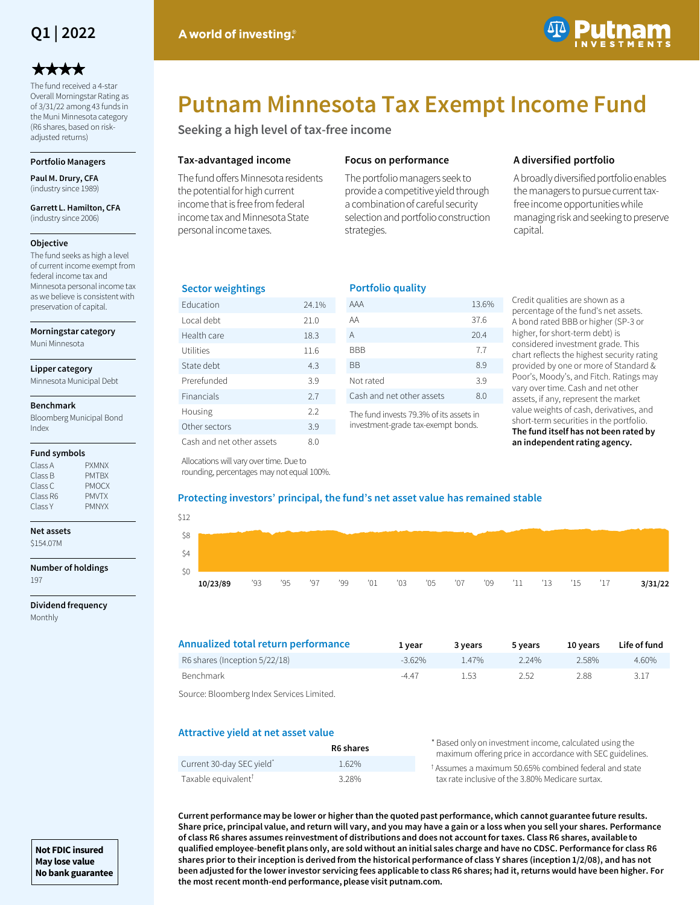

# \*\*\*\*

The fund received a 4-star Overall Morningstar Rating as of 3/31/22 among 43 funds in the Muni Minnesota category (R6 shares, based on riskadjusted returns)

### **Portfolio Managers**

**Paul M. Drury, CFA**  (industry since 1989)

**Garrett L. Hamilton, CFA**  (industry since 2006)

## **Objective**

The fund seeks as high a level of current income exempt from federal income tax and Minnesota personal income tax as we believe is consistent with preservation of capital.

**Morningstar category**

Muni Minnesota

#### **Lipper category**

Minnesota Municipal Debt

#### **Benchmark**

Bloomberg Municipal Bond Index

## **Fund symbols**

| <b>PXMNX</b> |
|--------------|
| <b>PMTRX</b> |
| <b>PMOCX</b> |
| <b>PMVTX</b> |
| <b>PMNYX</b> |
|              |

# **Net assets**

\$154.07M

**Number of holdings** 197

**Dividend frequency** Monthly



# **Putnam Minnesota Tax Exempt Income Fund**

**Seeking a high level of tax-free income**

# **Tax-advantaged income**

The fund offers Minnesota residents the potential for high current income that is free from federal income tax and Minnesota State personal income taxes.

# **Focus on performance**

**Portfolio quality**

The portfolio managers seek to provide a competitive yield through a combination of careful security selection and portfolio construction strategies.

# **A diversified portfolio**

A broadly diversified portfolio enables the managers to pursue current taxfree income opportunities while managing risk and seeking to preserve capital.

# **Sector weightings**

| <b>Education</b>          | 24.1% |
|---------------------------|-------|
| Local debt                | 21.0  |
| Health care               | 18.3  |
| Utilities                 | 11.6  |
| State debt                | 4.3   |
| Prerefunded               | 3.9   |
| Financials                | 2.7   |
| Housing                   | 2.2   |
| Other sectors             | 3.9   |
| Cash and net other assets | 8.0   |

Allocations will vary over time. Due to rounding, percentages may not equal 100%.

| . <i>.</i>                |       |
|---------------------------|-------|
| AAA                       | 13.6% |
| AA                        | 37.6  |
| A                         | 20.4  |
| BBB                       | 7.7   |
| ΒB                        | 8.9   |
| Not rated                 | 3.9   |
| Cash and net other assets | 8.0   |
|                           |       |

The fund invests 79.3% of its assets in investment-grade tax-exempt bonds.

Credit qualities are shown as a percentage of the fund's net assets. A bond rated BBB or higher (SP-3 or higher, for short-term debt) is considered investment grade. This chart reflects the highest security rating provided by one or more of Standard & Poor's, Moody's, and Fitch. Ratings may vary over time. Cash and net other assets, if any, represent the market value weights of cash, derivatives, and short-term securities in the portfolio. **The fund itself has not been rated by an independent rating agency.**

# **Protecting investors' principal, the fund's net asset value has remained stable**

| \$12 |          |     |     |     |     |     |     |             |  |                     |  |         |
|------|----------|-----|-----|-----|-----|-----|-----|-------------|--|---------------------|--|---------|
| -\$8 |          |     |     |     |     |     |     |             |  |                     |  |         |
| \$4  |          |     |     |     |     |     |     |             |  |                     |  |         |
| \$0  |          |     |     |     |     |     |     |             |  |                     |  |         |
|      | 10/23/89 | '93 | '95 | '97 | '99 | '01 | '03 | $'05$ $'07$ |  | '09 '11 '13 '15 '17 |  | 3/31/22 |

| Annualized total return performance                          | 1 vear    | 3 years | 5 years | 10 years | Life of fund |
|--------------------------------------------------------------|-----------|---------|---------|----------|--------------|
| R6 shares (Inception 5/22/18)                                | $-3.62\%$ | 147%    | 224%    | 2.58%    | 4.60%        |
| Benchmark                                                    | $-4.47$   | 1.53    | 2.52    | 2.88     | 3.17         |
| . Carriera : Dia analysis and an una description i funtional |           |         |         |          |              |

Source: Bloomberg Index Services Limited.

# **Attractive yield at net asset value**

|                                 | R6 shares | * Based only on investment income, calculated using the<br>maximum offering price in accordance with SEC guidelines. |
|---------------------------------|-----------|----------------------------------------------------------------------------------------------------------------------|
| Current 30-day SEC yield*       | $1.62\%$  | <sup>†</sup> Assumes a maximum 50.65% combined federal and state                                                     |
| Taxable equivalent <sup>T</sup> | 3.28%     | tax rate inclusive of the 3.80% Medicare surtax.                                                                     |

**Current performance may be lower or higher than the quoted past performance, which cannot guarantee future results. Share price, principal value, and return will vary, and you may have a gain or a loss when you sell your shares. Performance of class R6 shares assumes reinvestment of distributions and does not account for taxes. Class R6 shares, available to qualified employee-benefit plans only, are sold without an initial sales charge and have no CDSC. Performance for class R6 shares prior to their inception is derived from the historical performance of class Y shares (inception 1/2/08), and has not been adjusted for the lower investor servicing fees applicable to class R6 shares; had it, returns would have been higher. For the most recent month-end performance, please visit putnam.com.**